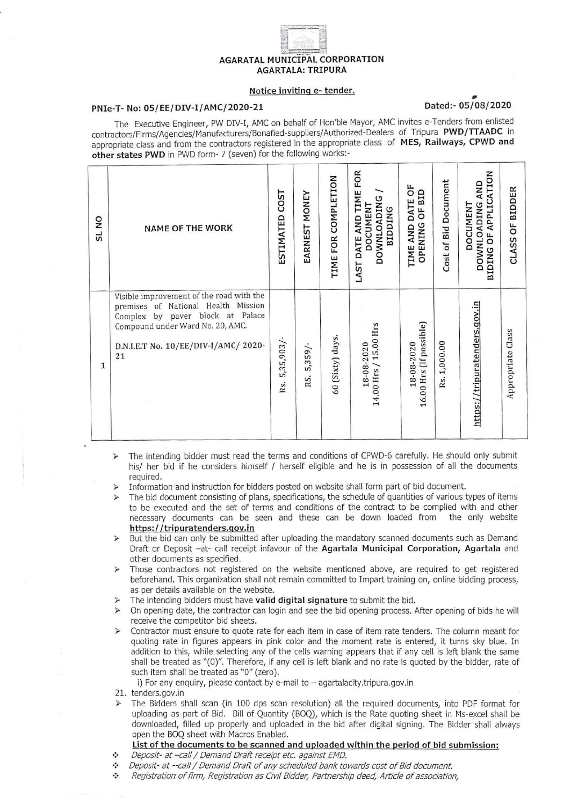# **AGARATAL MUNICIPAL CORPORATION AGARTALA: TRIPURA**

### Notice inviting e- tender.

## PNIe-T- No: 05/EE/DIV-I/AMC/2020-21

## Dated: - 05/08/2020

The Executive Engineer, PW DIV-I, AMC on behalf of Hon'ble Mayor, AMC invites e-Tenders from enlisted contractors/Firms/Agencies/Manufacturers/Bonafied-suppliers/Authorized-Dealers of Tripura PWD/TTAADC in appropriate class and from the contractors registered in the appropriate class of MES, Railways, CPWD and other states PWD in PWD form- 7 (seven) for the following works:-

| SL <sub>NO</sub> | <b>NAME OF THE WORK</b>                                                                                                                                                                                  | <b>COST</b><br>ESTIMATED | EARNEST MONEY     | TIME FOR COMPLETION | LAST DATE AND TIME FOR<br><b>DOWNLOADING</b><br><b>DOCUMENT</b><br><b>BIDDING</b> | ő<br>OPENING OF BID<br>TIME AND DATE  | Cost of Bid Document | APPLICATION<br>DOWNLOADING AND<br><b>DOCUMENT</b><br><b>bF</b><br><b>BIDING</b> | CLASS OF BIDDER   |
|------------------|----------------------------------------------------------------------------------------------------------------------------------------------------------------------------------------------------------|--------------------------|-------------------|---------------------|-----------------------------------------------------------------------------------|---------------------------------------|----------------------|---------------------------------------------------------------------------------|-------------------|
| $\mathbf{1}$     | Visible improvement of the road with the<br>premises of National Health<br>Mission<br>Complex by paver block at Palace<br>Compound under Ward No. 20, AMC.<br>D.N.I.E.T No. 10/EE/DIV-I/AMC/ 2020-<br>21 | 5,35,903/<br>Rs.         | $5,359/$ -<br>RS. | 60 (Sixty) days.    | 14.00 Hrs / 15.00 Hrs<br>18-08-2020                                               | 16.00 Hrs (if possible)<br>18-08-2020 | Rs. 1,000.00         | https://tripuratenders.gov.in                                                   | Appropriate Class |

The intending bidder must read the terms and conditions of CPWD-6 carefully. He should only submit his/ her bid if he considers himself / herself eligible and he is in possession of all the documents required.

- Information and instruction for bidders posted on website shall form part of bid document.
- The bid document consisting of plans, specifications, the schedule of quantities of various types of items to be executed and the set of terms and conditions of the contract to be complied with and other necessary documents can be seen and these can be down loaded from the only website https://tripuratenders.gov.in
- But the bid can only be submitted after uploading the mandatory scanned documents such as Demand Draft or Deposit -at- call receipt infavour of the Agartala Municipal Corporation, Agartala and other documents as specified.
- Those contractors not registered on the website mentioned above, are required to get registered beforehand. This organization shall not remain committed to Impart training on, online bidding process, as per details available on the website.
- The intending bidders must have valid digital signature to submit the bid.
- > On opening date, the contractor can login and see the bid opening process. After opening of bids he will receive the competitor bid sheets.
- > Contractor must ensure to quote rate for each item in case of item rate tenders. The column meant for quoting rate in figures appears in pink color and the moment rate is entered, it turns sky blue. In addition to this, while selecting any of the cells warning appears that if any cell is left blank the same shall be treated as "(0)". Therefore, if any cell is left blank and no rate is quoted by the bidder, rate of such item shall be treated as "0" (zero).

i) For any enquiry, please contact by e-mail to - agartalacity.tripura.gov.in

The Bidders shall scan (in 100 dps scan resolution) all the required documents, into PDF format for uploading as part of Bid. Bill of Quantity (BOQ), which is the Rate quoting sheet in Ms-excel shall be downloaded, filled up properly and uploaded in the bid after digital signing. The Bidder shall always open the BOQ sheet with Macros Enabled.

## List of the documents to be scanned and uploaded within the period of bid submission:

- Deposit- at -call / Demand Draft receipt etc. against EMD.  $\ddot{\cdot}$
- \* Deposit- at --call / Demand Draft of any scheduled bank towards cost of Bid document.
- $\ddot{\phantom{a}}$ Registration of firm, Registration as Civil Bidder, Partnership deed, Article of association,

<sup>21.</sup> tenders.gov.in